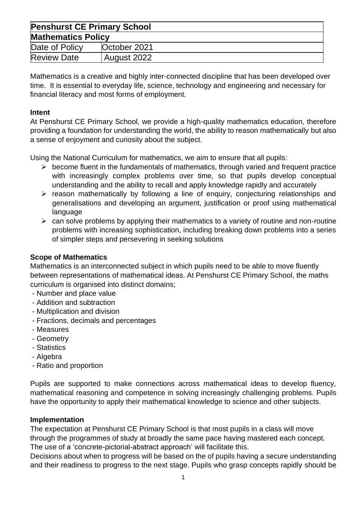| <b>Penshurst CE Primary School</b> |              |  |
|------------------------------------|--------------|--|
| <b>Mathematics Policy</b>          |              |  |
| Date of Policy                     | October 2021 |  |
| <b>Review Date</b>                 | August 2022  |  |

Mathematics is a creative and highly inter-connected discipline that has been developed over time. It is essential to everyday life, science, technology and engineering and necessary for financial literacy and most forms of employment.

#### **Intent**

At Penshurst CE Primary School, we provide a high-quality mathematics education, therefore providing a foundation for understanding the world, the ability to reason mathematically but also a sense of enjoyment and curiosity about the subject.

Using the National Curriculum for mathematics, we aim to ensure that all pupils:

- $\triangleright$  become fluent in the fundamentals of mathematics, through varied and frequent practice with increasingly complex problems over time, so that pupils develop conceptual understanding and the ability to recall and apply knowledge rapidly and accurately
- ➢ reason mathematically by following a line of enquiry, conjecturing relationships and generalisations and developing an argument, justification or proof using mathematical language
- $\triangleright$  can solve problems by applying their mathematics to a variety of routine and non-routine problems with increasing sophistication, including breaking down problems into a series of simpler steps and persevering in seeking solutions

## **Scope of Mathematics**

Mathematics is an interconnected subject in which pupils need to be able to move fluently between representations of mathematical ideas. At Penshurst CE Primary School, the maths curriculum is organised into distinct domains;

- Number and place value
- Addition and subtraction
- Multiplication and division
- Fractions, decimals and percentages
- Measures
- Geometry
- Statistics
- Algebra
- Ratio and proportion

Pupils are supported to make connections across mathematical ideas to develop fluency, mathematical reasoning and competence in solving increasingly challenging problems. Pupils have the opportunity to apply their mathematical knowledge to science and other subjects.

#### **Implementation**

The expectation at Penshurst CE Primary School is that most pupils in a class will move through the programmes of study at broadly the same pace having mastered each concept. The use of a 'concrete-pictorial-abstract approach' will facilitate this.

Decisions about when to progress will be based on the of pupils having a secure understanding and their readiness to progress to the next stage. Pupils who grasp concepts rapidly should be